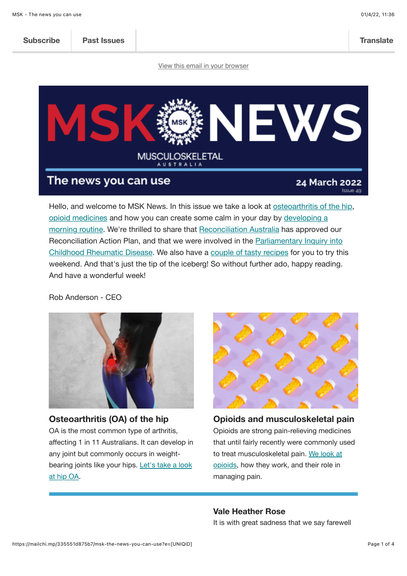|  | <b>Subscribe</b> | <b>Past Issues</b> |  | <b>Translate</b> |
|--|------------------|--------------------|--|------------------|
|--|------------------|--------------------|--|------------------|

[View this email in your browser](https://mailchi.mp/335551d875b7/msk-the-news-you-can-use?e=%5BUNIQID%5D)



Hello, and welcome to MSK News. In this issue we take a look at [osteoarthritis of the hip,](https://msk.org.au/oa-hip-blog/) [opioid medicine](https://msk.org.au/opioids-blog/)[s and how you can create some calm in your day by developing a](https://msk.org.au/morning-routine-blog/) morning routine. We're thrilled to share that [Reconciliation Australia](https://msk.org.au/reconciliation-action-plan) has approved our [Reconciliation Action Plan, and that we were involved in the Parliamentary Inquiry into](https://msk.org.au/submissions/) Childhood Rheumatic Disease. We also have a [couple of tasty recipes](https://msk.org.au/recipes/) for you to try this weekend. And that's just the tip of the iceberg! So without further ado, happy reading. And have a wonderful week!

Rob Anderson - CEO



**Osteoarthritis (OA) of the hip** OA is the most common type of arthritis, affecting 1 in 11 Australians. It can develop in any joint but commonly occurs in weight[bearing joints like your hips. Let's take a look](https://msk.org.au/oa-hip-blog/) at hip OA.



**Opioids and musculoskeletal pain** Opioids are strong pain-relieving medicines that until fairly recently were commonly used [to treat musculoskeletal pain. We look at](https://msk.org.au/opioids-blog/) opioids, how they work, and their role in managing pain.

#### **Vale Heather Rose**

It is with great sadness that we say farewell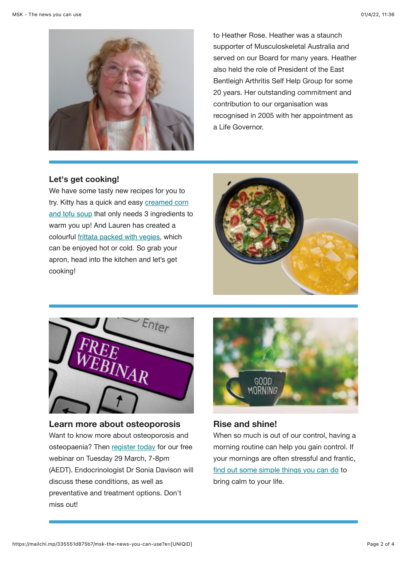

to Heather Rose. Heather was a staunch supporter of Musculoskeletal Australia and served on our Board for many years. Heather also held the role of President of the East Bentleigh Arthritis Self Help Group for some 20 years. Her outstanding commitment and contribution to our organisation was recognised in 2005 with her appointment as a Life Governor.

## **Let's get cooking!**

We have some tasty new recipes for you to [try. Kitty has a quick and easy creamed corn](https://msk.org.au/corn-tofu-soup/) and tofu soup that only needs 3 ingredients to warm you up! And Lauren has created a colourful [frittata packed with vegies,](https://msk.org.au/vegie-frittata/) which can be enjoyed hot or cold. So grab your apron, head into the kitchen and let's get cooking!





**Learn more about osteoporosis** Want to know more about osteoporosis and osteopaenia? Then [register today](https://msk.org.au/events/osteoporosis-and-osteopenia/) for our free webinar on Tuesday 29 March, 7-8pm (AEDT). Endocrinologist Dr Sonia Davison will discuss these conditions, as well as preventative and treatment options. Don't miss out!



### **Rise and shine!**

When so much is out of our control, having a morning routine can help you gain control. If your mornings are often stressful and frantic, [find out some simple things you can do](https://msk.org.au/morning-routine-blog/) to bring calm to your life.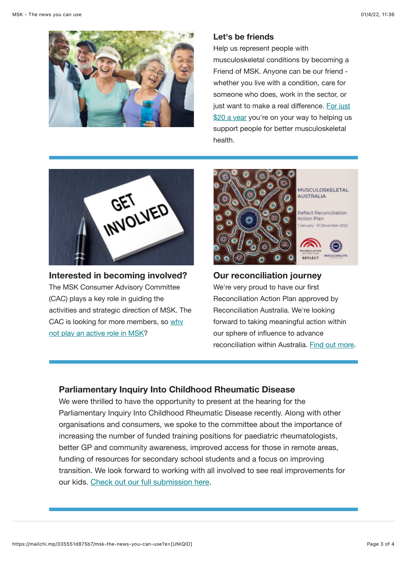

#### **Let's be friends**

Help us represent people with musculoskeletal conditions by becoming a Friend of MSK. Anyone can be our friend whether you live with a condition, care for someone who does, work in the sector, or just want to make a real difference. For just [\\$20 a year you're on your way to helping us](https://msk.org.au/friends-of-msk/) support people for better musculoskeletal health.



**Interested in becoming involved?** The MSK Consumer Advisory Committee (CAC) plays a key role in guiding the activities and strategic direction of MSK. The [CAC is looking for more members, so why](https://msk.org.au/consumer-advisory-committee) not play an active role in MSK?





Reflect Reconciliation **Action Plan** January - 31 December 2022



## **Our reconciliation journey**

We're very proud to have our first Reconciliation Action Plan approved by Reconciliation Australia. We're looking forward to taking meaningful action within our sphere of influence to advance reconciliation within Australia. [Find out more.](https://msk.org.au/reconciliation-action-plan)

# **Parliamentary Inquiry Into Childhood Rheumatic Disease**

We were thrilled to have the opportunity to present at the hearing for the Parliamentary Inquiry Into Childhood Rheumatic Disease recently. Along with other organisations and consumers, we spoke to the committee about the importance of increasing the number of funded training positions for paediatric rheumatologists, better GP and community awareness, improved access for those in remote areas, funding of resources for secondary school students and a focus on improving transition. We look forward to working with all involved to see real improvements for our kids. [Check out our full submission here](https://msk.org.au/submissions/).